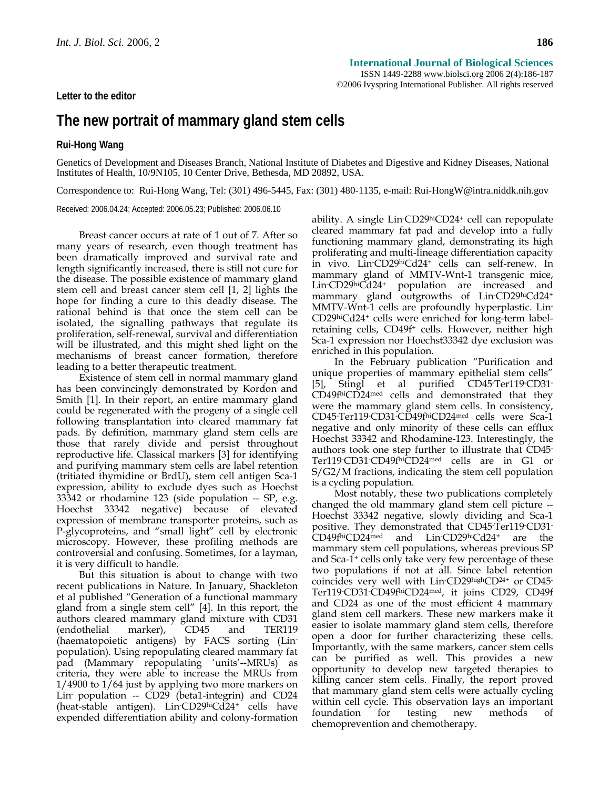**Letter to the editor** 

## **The new portrait of mammary gland stem cells**

**Rui-Hong Wang**

Genetics of Development and Diseases Branch, National Institute of Diabetes and Digestive and Kidney Diseases, National Institutes of Health, 10/9N105, 10 Center Drive, Bethesda, MD 20892, USA.

Correspondence to: Rui-Hong Wang, Tel: (301) 496-5445, Fax: (301) 480-1135, e-mail: Rui-HongW@intra.niddk.nih.gov

Received: 2006.04.24; Accepted: 2006.05.23; Published: 2006.06.10

Breast cancer occurs at rate of 1 out of 7. After so many years of research, even though treatment has been dramatically improved and survival rate and length significantly increased, there is still not cure for the disease. The possible existence of mammary gland stem cell and breast cancer stem cell [1, 2] lights the hope for finding a cure to this deadly disease. The rational behind is that once the stem cell can be isolated, the signalling pathways that regulate its proliferation, self-renewal, survival and differentiation will be illustrated, and this might shed light on the mechanisms of breast cancer formation, therefore leading to a better therapeutic treatment.

Existence of stem cell in normal mammary gland has been convincingly demonstrated by Kordon and Smith [1]. In their report, an entire mammary gland could be regenerated with the progeny of a single cell following transplantation into cleared mammary fat pads. By definition, mammary gland stem cells are those that rarely divide and persist throughout reproductive life. Classical markers [3] for identifying and purifying mammary stem cells are label retention (tritiated thymidine or BrdU), stem cell antigen Sca-1 expression, ability to exclude dyes such as Hoechst 33342 or rhodamine 123 (side population -- SP, e.g. Hoechst 33342 negative) because of elevated expression of membrane transporter proteins, such as P-glycoproteins, and "small light" cell by electronic microscopy. However, these profiling methods are controversial and confusing. Sometimes, for a layman, it is very difficult to handle.

But this situation is about to change with two recent publications in Nature. In January, Shackleton et al published "Generation of a functional mammary gland from a single stem cell" [4]. In this report, the authors cleared mammary gland mixture with CD31 (endothelial marker), CD45 and TER119 (haematopoietic antigens) by FACS sorting (Linpopulation). Using repopulating cleared mammary fat pad (Mammary repopulating 'units'--MRUs) as criteria, they were able to increase the MRUs from 1/4900 to 1/64 just by applying two more markers on Lin<sup>-</sup> population -- CD29 (beta1-integrin) and CD24 (heat-stable antigen). Lin-CD29hiCd24+ cells have expended differentiation ability and colony-formation

ability. A single Lin-CD29hiCD24+ cell can repopulate cleared mammary fat pad and develop into a fully functioning mammary gland, demonstrating its high proliferating and multi-lineage differentiation capacity in vivo. Lin-CD29hiCd24+ cells can self-renew. In mammary gland of MMTV-Wnt-1 transgenic mice, Lin-CD29hiCd24+ population are increased and mammary gland outgrowths of Lin-CD29hiCd24+ MMTV-Wnt-1 cells are profoundly hyperplastic. Lin-CD29hiCd24+ cells were enriched for long-term labelretaining cells, CD49f+ cells. However, neither high Sca-1 expression nor Hoechst33342 dye exclusion was enriched in this population.

In the February publication "Purification and unique properties of mammary epithelial stem cells" [5], Stingl et al purified CD45- Ter119- CD31- CD49fhiCD24med cells and demonstrated that they were the mammary gland stem cells. In consistency, CD45- Ter119- CD31- CD49fhiCD24med cells were Sca-1 negative and only minority of these cells can efflux Hoechst 33342 and Rhodamine-123. Interestingly, the authors took one step further to illustrate that CD45- Ter119- CD31- CD49fhiCD24med cells are in G1 or S/G2/M fractions, indicating the stem cell population is a cycling population.

Most notably, these two publications completely changed the old mammary gland stem cell picture -- Hoechst 33342 negative, slowly dividing and Sca-1 positive. They demonstrated that CD45- Ter119- CD31- CD49fhiCD24med and Lin-CD29hiCd24+ are the mammary stem cell populations, whereas previous SP and Sca-1+ cells only take very few percentage of these two populations if not at all. Since label retention coincides very well with Lin-CD29highCD24+ or CD45- Ter119- CD31- CD49fhiCD24med, it joins CD29, CD49f and CD24 as one of the most efficient 4 mammary gland stem cell markers. These new markers make it easier to isolate mammary gland stem cells, therefore open a door for further characterizing these cells. Importantly, with the same markers, cancer stem cells can be purified as well. This provides a new opportunity to develop new targeted therapies to killing cancer stem cells. Finally, the report proved that mammary gland stem cells were actually cycling within cell cycle. This observation lays an important foundation for testing new methods of chemoprevention and chemotherapy.